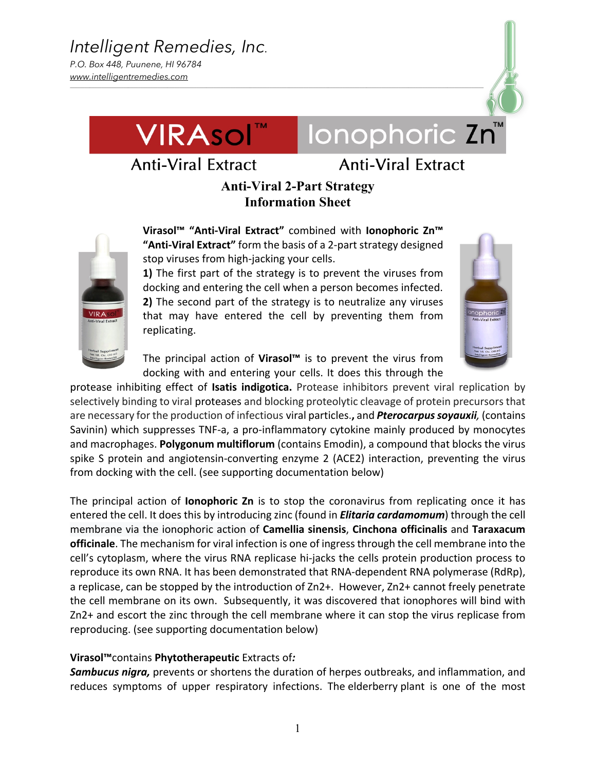

# **Anti-Viral Extract**

Ionophoric Zn

## **Anti-Viral 2-Part Strategy Information Sheet**

*\_\_\_\_\_\_\_\_\_\_\_\_\_\_\_\_\_\_\_\_\_\_\_\_\_\_\_\_\_\_\_\_\_\_\_\_\_\_\_\_\_\_\_\_\_\_\_\_\_\_\_\_\_\_\_\_\_\_\_\_\_\_\_\_\_\_\_\_\_\_\_\_\_\_\_\_\_\_\_\_\_\_\_\_\_\_\_\_\_\_\_\_\_\_\_\_\_\_\_\_\_\_\_\_\_\_\_\_\_\_\_\_\_\_\_\_\_\_\_\_\_\_\_\_\_\_\_\_\_\_\_\_\_\_\_\_\_\_\_\_\_\_\_\_\_\_\_\_\_\_\_\_\_\_\_\_\_\_\_\_\_\_\_\_\_\_\_\_\_\_*



**Virasol™ "Anti-Viral Extract"** combined with **Ionophoric Zn™ "Anti-Viral Extract"** form the basis of a 2-part strategy designed stop viruses from high-jacking your cells.

**1)** The first part of the strategy is to prevent the viruses from docking and entering the cell when a person becomes infected. **2)** The second part of the strategy is to neutralize any viruses that may have entered the cell by preventing them from replicating.



The principal action of **Virasol™** is to prevent the virus from docking with and entering your cells. It does this through the

protease inhibiting effect of **Isatis indigotica.** Protease inhibitors prevent viral replication by selectively binding to viral proteases and blocking proteolytic cleavage of protein precursors that are necessary for the production of infectious viral particles.**,** and *Pterocarpus soyauxii,* (contains Savinin) which suppresses TNF-a, a pro-inflammatory cytokine mainly produced by monocytes and macrophages. **Polygonum multiflorum** (contains Emodin), a compound that blocks the virus spike S protein and angiotensin-converting enzyme 2 (ACE2) interaction, preventing the virus from docking with the cell. (see supporting documentation below)

The principal action of **Ionophoric Zn** is to stop the coronavirus from replicating once it has entered the cell. It does this by introducing zinc (found in *Elitaria cardamomum*) through the cell membrane via the ionophoric action of **Camellia sinensis**, **Cinchona officinalis** and **Taraxacum officinale**. The mechanism for viral infection is one of ingress through the cell membrane into the cell's cytoplasm, where the virus RNA replicase hi-jacks the cells protein production process to reproduce its own RNA. It has been demonstrated that RNA-dependent RNA polymerase (RdRp), a replicase, can be stopped by the introduction of Zn2+. However, Zn2+ cannot freely penetrate the cell membrane on its own. Subsequently, it was discovered that ionophores will bind with Zn2+ and escort the zinc through the cell membrane where it can stop the virus replicase from reproducing. (see supporting documentation below)

### **Virasol™**contains **Phytotherapeutic** Extracts of*:*

*Sambucus nigra,* prevents or shortens the duration of herpes outbreaks, and inflammation, and reduces symptoms of upper respiratory infections. The elderberry plant is one of the most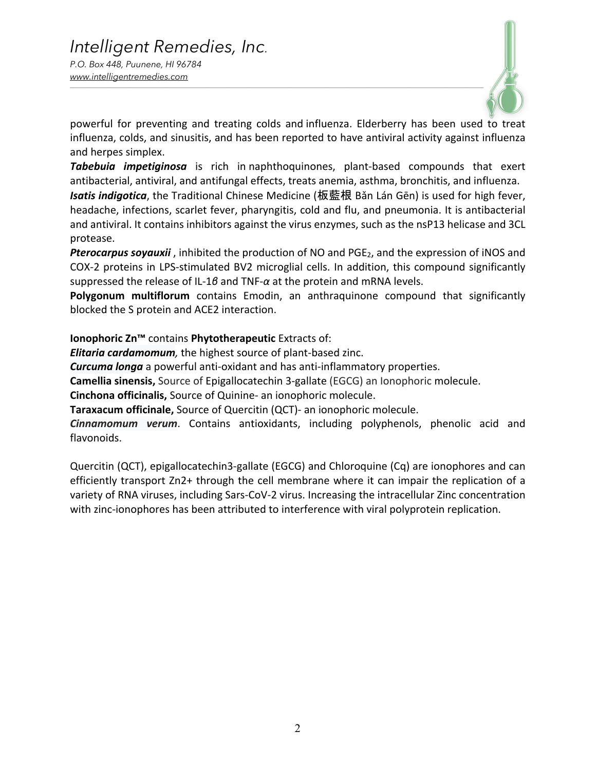

powerful for preventing and treating colds and influenza. Elderberry has been used to treat influenza, colds, and sinusitis, and has been reported to have antiviral activity against influenza and herpes simplex.

*Tabebuia impetiginosa* is rich in naphthoquinones, plant-based compounds that exert antibacterial, antiviral, and antifungal effects, treats anemia, asthma, bronchitis, and influenza.

*Isatis indigotica*, the Traditional Chinese Medicine (板藍根 Bǎn Lán Gēn) is used for high fever, headache, infections, scarlet fever, pharyngitis, cold and flu, and pneumonia. It is antibacterial and antiviral. It contains inhibitors against the virus enzymes, such as the nsP13 helicase and 3CL protease.

**Pterocarpus soyauxii**, inhibited the production of NO and PGE<sub>2</sub>, and the expression of iNOS and COX-2 proteins in LPS-stimulated BV2 microglial cells. In addition, this compound significantly suppressed the release of IL-1*β* and TNF-*α* at the protein and mRNA levels.

**Polygonum multiflorum** contains Emodin, an anthraquinone compound that significantly blocked the S protein and ACE2 interaction.

**Ionophoric Zn™** contains **Phytotherapeutic** Extracts of:

*Elitaria cardamomum,* the highest source of plant-based zinc.

*Curcuma longa* a powerful anti-oxidant and has anti-inflammatory properties.

**Camellia sinensis,** Source of Epigallocatechin 3-gallate (EGCG) an Ionophoric molecule.

**Cinchona officinalis,** Source of Quinine- an ionophoric molecule.

**Taraxacum officinale,** Source of Quercitin (QCT)- an ionophoric molecule.

*Cinnamomum verum*. Contains antioxidants, including polyphenols, phenolic acid and flavonoids.

Quercitin (QCT), epigallocatechin3-gallate (EGCG) and Chloroquine (Cq) are ionophores and can efficiently transport Zn2+ through the cell membrane where it can impair the replication of a variety of RNA viruses, including Sars-CoV-2 virus. Increasing the intracellular Zinc concentration with zinc-ionophores has been attributed to interference with viral polyprotein replication.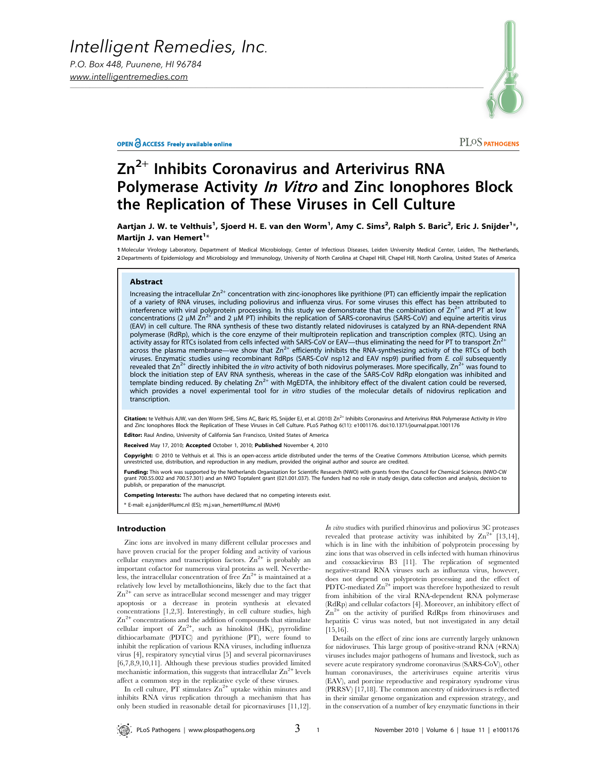



PLOS PATHOGENS

## $Zn^{2+}$  Inhibits Coronavirus and Arterivirus RNA Polymerase Activity *In Vitro* and Zinc Ionophores Block the Replication of These Viruses in Cell Culture

Aartjan J. W. te Velthuis<sup>1</sup>, Sjoerd H. E. van den Worm<sup>1</sup>, Amy C. Sims<sup>2</sup>, Ralph S. Baric<sup>2</sup>, Eric J. Snijder<sup>1\*</sup>, Martijn J. van Hemert $^{1*}$ 

1 Molecular Virology Laboratory, Department of Medical Microbiology, Center of Infectious Diseases, Leiden University Medical Center, Leiden, The Netherlands, 2 Departments of Epidemiology and Microbiology and Immunology, University of North Carolina at Chapel Hill, Chapel Hill, North Carolina, United States of America

#### Abstract

Increasing the intracellular  $Zn^{2+}$  concentration with zinc-ionophores like pyrithione (PT) can efficiently impair the replication of a variety of RNA viruses, including poliovirus and influenza virus. For some viruses this effect has been attributed to interference with viral polyprotein processing. In this study we demonstrate that the combination of  $\text{Zn}^{2+}$  and PT at low concentrations (2 µM  $\text{Zn}^{2+}$  and 2 µM PT) inhibits the replication of SARS-coronavirus (  $^+$  and 2  $\mu$ M PT) inhibits the replication of SARS-coronavirus (SARS-CoV) and equine arteritis virus (EAV) in cell culture. The RNA synthesis of these two distantly related nidoviruses is catalyzed by an RNA-dependent RNA polymerase (RdRp), which is the core enzyme of their multiprotein replication and transcription complex (RTC). Using an<br>activity assay for RTCs isolated from cells infected with SARS-CoV or EAV—thus eliminating the need fo across the plasma membrane—we show that  $Zn^{2+}$  efficiently inhibits the RNA-synthesizing activity of the RTCs of both viruses. Enzymatic studies using recombinant RdRps (SARS-CoV nsp12 and EAV nsp9) purified from E. coli subsequently revealed that  $Zn^{2+}$  directly inhibited the *in vitro* activity of both nidovirus polymerases. More specifically,  $Zn^{2+}$  was found to block the initiation step of EAV RNA synthesis, whereas in the case of the SARS-CoV RdRp elongation was inhibited and template binding reduced. By chelating  $Zn^{2+}$  with MgEDTA, the inhibitory effect of the divalent cation could be reversed, which provides a novel experimental tool for in vitro studies of the molecular details of nidovirus replication and transcription.

Citation: te Velthuis AJW, van den Worm SHE, Sims AC, Baric RS, Snijder EJ, et al. (2010) Zn<sup>2+</sup> Inhibits Coronavirus and Arterivirus RNA Polymerase Activity In Vitro and Zinc Ionophores Block the Replication of These Viruses in Cell Culture. PLoS Pathog 6(11): e1001176. doi:10.1371/journal.ppat.1001176

Editor: Raul Andino, University of California San Francisco, United States of America

Received May 17, 2010; Accepted October 1, 2010; Published November 4, 2010

Copyright: © 2010 te Velthuis et al. This is an open-access article distributed under the terms of the Creative Commons Attribution License, which permits ted use, distribution, and reproduction in any medium, provided the original author and source are credited

Funding: This work was supported by the Netherlands Organization for Scientific Research (NWO) with grants from the Council for Chemical Sciences (NWO-CW grant 700.55.002 and 700.57.301) and an NWO Toptalent grant (021.001.037). The funders had no role in study design, data collection and analysis, decision to publish, or preparation of the manuscript.

Competing Interests: The authors have declared that no competing interests exist.

\* E-mail: e.j.snijder@lumc.nl (ES); m.j.van\_hemert@lumc.nl (MJvH)

#### Introduction

Zinc ions are involved in many different cellular processes and have proven crucial for the proper folding and activity of various cellular enzymes and transcription factors.  $\text{Zn}^{2+}$  is probably an important cofactor for numerous viral proteins as well. Nevertheless, the intracellular concentration of free  $Zn^{2+}$  is maintained at a relatively low level by metallothioneins, likely due to the fact that  $\text{Zn}^{2+}$  can serve as intracellular second messenger and may trigger apoptosis or a decrease in protein synthesis at elevated concentrations [1,2,3]. Interestingly, in cell culture studies, high  $\rm Zn^{2+}$  concentrations and the addition of compounds that stimulate cellular import of  $\text{Zn}^{2+}$ , such as hinokitol (HK), pyrrolidine dithiocarbamate (PDTC) and pyrithione (PT), were found to inhibit the replication of various RNA viruses, including influenza virus [4], respiratory syncytial virus [5] and several picornaviruses [6,7,8,9,10,11]. Although these previous studies provided limited mechanistic information, this suggests that intracellular  $\text{Zn}^{2+}$  levels affect a common step in the replicative cycle of these viruses.

In cell culture,  $\overrightarrow{PT}$  stimulates  $\overrightarrow{Z}$  uptake within minutes and inhibits RNA virus replication through a mechanism that has only been studied in reasonable detail for picornaviruses [11,12].

In vitro studies with purified rhinovirus and poliovirus 3C proteases revealed that protease activity was inhibited by  $\text{Zn}^{2+}$  [13,14], which is in line with the inhibition of polyprotein processing by zinc ions that was observed in cells infected with human rhinovirus and coxsackievirus B3 [11]. The replication of segmented negative-strand RNA viruses such as influenza virus, however, does not depend on polyprotein processing and the effect of PDTC-mediated  $\text{Zn}^{2+}$  import was therefore hypothesized to result from inhibition of the viral RNA-dependent RNA polymerase (RdRp) and cellular cofactors [4]. Moreover, an inhibitory effect of  $Zn^{2+}$  on the activity of purified RdRps from rhinoviruses and hepatitis C virus was noted, but not investigated in any detail [15,16].

Details on the effect of zinc ions are currently largely unknown for nidoviruses. This large group of positive-strand RNA (+RNA) viruses includes major pathogens of humans and livestock, such as severe acute respiratory syndrome coronavirus (SARS-CoV), other human coronaviruses, the arteriviruses equine arteritis virus (EAV), and porcine reproductive and respiratory syndrome virus (PRRSV) [17,18]. The common ancestry of nidoviruses is reflected in their similar genome organization and expression strategy, and in the conservation of a number of key enzymatic functions in their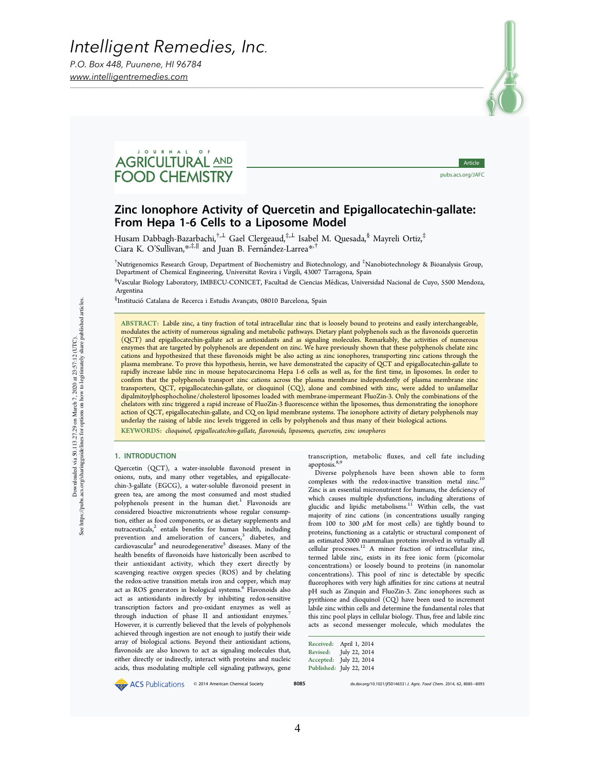*Intelligent Remedies, Inc.*

*P.O. Box 448, Puunene, HI 96784 www.intelligentremedies.com*



# AGRICULTURAL AND **FOOD CHEMISTRY**

Article pubs.acs.org/JAFC

### Zinc Ionophore Activity of Quercetin and Epigallocatechin-gallate: From Hepa 1‑6 Cells to a Liposome Model

Husam Dabbagh-Bazarbachi,<sup>†,⊥</sup> Gael Clergeaud,<sup>‡,⊥</sup> Isabel M. Quesada,<sup>§</sup> Mayreli Ortiz,<sup>‡</sup> Ciara K. O'Sullivan, $*$ , $*$ ,∥ and Juan B. Fernández-Larrea $*$ ,†

† Nutrigenomics Research Group, Department of Biochemistry and Biotechnology, and ‡ Nanobiotechnology & Bioanalysis Group, Department of Chemical Engineering, Universitat Rovira i Virgili, 43007 Tarragona, Spain

§ Vascular Biology Laboratory, IMBECU-CONICET, Facultad de Ciencias Medicas, Universidad Nacional de Cuyo, 5500 Mendoza, ́ Argentina

∥ InstitucióCatalana de Recerca i Estudis Avancats, 08010 Barcelona, Spain ̧

ABSTRACT: Labile zinc, a tiny fraction of total intracellular zinc that is loosely bound to proteins and easily interchangeable, modulates the activity of numerous signaling and metabolic pathways. Dietary plant polyphenols such as the flavonoids quercetin (QCT) and epigallocatechin-gallate act as antioxidants and as signaling molecules. Remarkably, the activities of numerous enzymes that are targeted by polyphenols are dependent on zinc. We have previously shown that these polyphenols chelate zinc cations and hypothesized that these flavonoids might be also acting as zinc ionophores, transporting zinc cations through the plasma membrane. To prove this hypothesis, herein, we have demonstrated the capacity of QCT and epigallocatechin-gallate to rapidly increase labile zinc in mouse hepatocarcinoma Hepa 1-6 cells as well as, for the first time, in liposomes. In order to confirm that the polyphenols transport zinc cations across the plasma membrane independently of plasma membrane zinc transporters, QCT, epigallocatechin-gallate, or clioquinol (CQ), alone and combined with zinc, were added to unilamellar dipalmitoylphosphocholine/cholesterol liposomes loaded with membrane-impermeant FluoZin-3. Only the combinations of the chelators with zinc triggered a rapid increase of FluoZin-3 fluorescence within the liposomes, thus demonstrating the ionophore action of QCT, epigallocatechin-gallate, and CQ on lipid membrane systems. The ionophore activity of dietary polyphenols may underlay the raising of labile zinc levels triggered in cells by polyphenols and thus many of their biological actions. KEYWORDS: clioquinol, epigallocatechin-gallate, flavonoids, liposomes, quercetin, zinc ionophores

#### 1. INTRODUCTION

Quercetin (QCT), a water-insoluble flavonoid present in onions, nuts, and many other vegetables, and epigallocatechin-3-gallate (EGCG), a water-soluble flavonoid present in green tea, are among the most consumed and most studied polyphenols present in the human diet.<sup>1</sup> Flavonoids are considered bioactive micronutrients whose regular consumption, either as food components, or as dietary supplements and  $nutraceuticals$ ,  $<sup>2</sup>$  entails benefits for human health, including</sup> prevention and amelioration of cancers,<sup>3</sup> diabetes, and cardiovascular<sup>4</sup> and neurodegenerative<sup>5</sup> diseases. Many of the health benefits of flavonoids have historically been ascribed to their antioxidant activity, which they exert directly by scavenging reactive oxygen species (ROS) and by chelating the redox-active transition metals iron and copper, which may act as ROS generators in biological systems.<sup>6</sup> Flavonoids also act as antioxidants indirectly by inhibiting redox-sensitive transcription factors and pro-oxidant enzymes as well as through induction of phase II and antioxidant enzymes.<sup>7</sup> However, it is currently believed that the levels of polyphenols achieved through ingestion are not enough to justify their wide array of biological actions. Beyond their antioxidant actions, flavonoids are also known to act as signaling molecules that, either directly or indirectly, interact with proteins and nucleic acids, thus modulating multiple cell signaling pathways, gene

transcription, metabolic fluxes, and cell fate including apoptosis.<sup>8,9</sup>

Diverse polyphenols have been shown able to form complexes with the redox-inactive transition metal zinc.<sup>10</sup> Zinc is an essential micronutrient for humans, the deficiency of which causes multiple dysfunctions, including alterations of glucidic and lipidic metabolisms.<sup>11</sup> Within cells, the vast majority of zinc cations (in concentrations usually ranging from 100 to 300  $\mu$ M for most cells) are tightly bound to proteins, functioning as a catalytic or structural component of an estimated 3000 mammalian proteins involved in virtually all cellular processes.<sup>12</sup> A minor fraction of intracellular zinc, termed labile zinc, exists in its free ionic form (picomolar concentrations) or loosely bound to proteins (in nanomolar concentrations). This pool of zinc is detectable by specific fluorophores with very high affinities for zinc cations at neutral pH such as Zinquin and FluoZin-3. Zinc ionophores such as pyrithione and clioquinol (CQ) have been used to increment labile zinc within cells and determine the fundamental roles that this zinc pool plays in cellular biology. Thus, free and labile zinc acts as second messenger molecule, which modulates the

| Received:  | April 1, 2014 |
|------------|---------------|
| Revised:   | July 22, 2014 |
| Accepted:  | July 22, 2014 |
| Published: | July 22, 2014 |

● ACS Publications © 2014 American Chemical Society **8085** dx.doi.org/10.1021/jf50146331*J. Agric. Food Chem.* 2014, 62, 8085–8093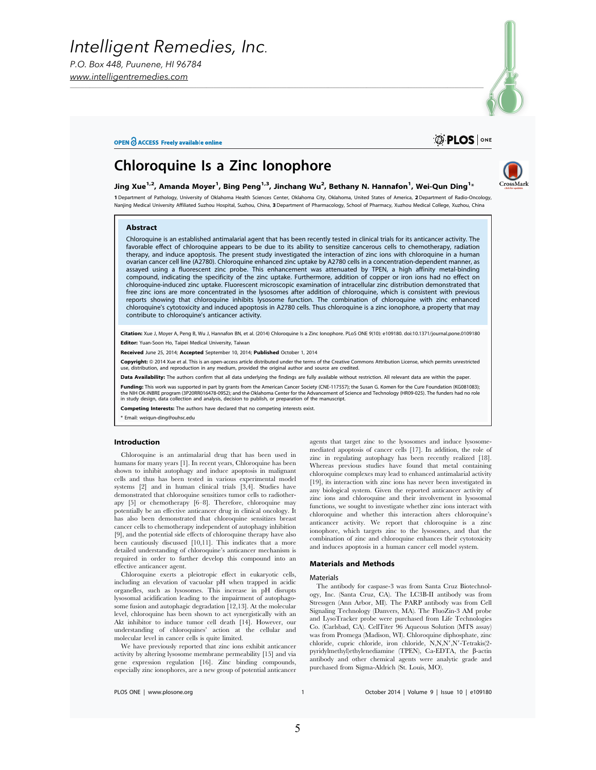*P.O. Box 448, Puunene, HI 96784 www.intelligentremedies.com*

#### OPEN O ACCESS Freely available online



## Chloroquine Is a Zinc Ionophore



1 Department of Pathology, University of Oklahoma Health Sciences Center, Oklahoma City, Oklahoma, United States of America, 2 Department of Radio-Oncology, Nanjing Medical University Affiliated Suzhou Hospital, Suzhou, China, 3 Department of Pharmacology, School of Pharmacy, Xuzhou Medical College, Xuzhou, Chin

Jing Xue $^{1,2}$ , Amanda Moyer $^1$ , Bing Peng $^{1,3}$ , Jinchang Wu $^2$ , Bethany N. Hannafon $^1$ , Wei-Qun Ding $^{1*}$ 

*\_\_\_\_\_\_\_\_\_\_\_\_\_\_\_\_\_\_\_\_\_\_\_\_\_\_\_\_\_\_\_\_\_\_\_\_\_\_\_\_\_\_\_\_\_\_\_\_\_\_\_\_\_\_\_\_\_\_\_\_\_\_\_\_\_\_\_\_\_\_\_\_\_\_\_\_\_\_\_\_\_\_\_\_\_\_\_\_\_\_\_\_\_\_\_\_\_\_\_\_\_\_\_\_\_\_\_\_\_\_\_\_\_\_\_\_\_\_\_\_\_\_\_\_\_\_\_\_\_\_\_\_\_\_\_\_\_\_\_\_\_\_\_\_\_\_\_\_\_\_\_\_\_\_\_\_\_\_\_\_\_\_\_\_\_\_\_\_\_\_*

#### Abstract

Chloroquine is an established antimalarial agent that has been recently tested in clinical trials for its anticancer activity. The favorable effect of chloroquine appears to be due to its ability to sensitize cancerous cells to chemotherapy, radiation therapy, and induce apoptosis. The present study investigated the interaction of zinc ions with chloroquine in a human ovarian cancer cell line (A2780). Chloroquine enhanced zinc uptake by A2780 cells in a concentration-dependent manner, as assayed using a fluorescent zinc probe. This enhancement was attenuated by TPEN, a high affinity metal-binding compound, indicating the specificity of the zinc uptake. Furthermore, addition of copper or iron ions had no effect on chloroquine-induced zinc uptake. Fluorescent microscopic examination of intracellular zinc distribution demonstrated that free zinc ions are more concentrated in the lysosomes after addition of chloroquine, which is consistent with previous reports showing that chloroquine inhibits lysosome function. The combination of chloroquine with zinc enhanced chloroquine's cytotoxicity and induced apoptosis in A2780 cells. Thus chloroquine is a zinc ionophore, a property that may contribute to chloroquine's anticancer activity.

Citation: Xue J, Moyer A, Peng B, Wu J, Hannafon BN, et al. (2014) Chloroquine Is a Zinc Ionophore. PLoS ONE 9(10): e109180. doi:10.1371/journal.pone.0109180 Editor: Yuan-Soon Ho, Taipei Medical University, Taiwan

Received June 25, 2014; Accepted September 10, 2014; Published October 1, 2014

Copyright: @ 2014 Xue et al. This is an open-access article distributed under the terms of the Creative Commons Attribution License, which permits unrestricted istribution, and reproduction in any medium, provided the original author and source are credited

Data Availability: The authors confirm that all data underlying the findings are fully available without restriction. All relevant data are within the paper.

**Funding:** This work was supported in part by grants from the American Cancer Society (CNE-117557); the Susan G. Komen for the Cure Foundation (KG081083);<br>the NIH OK-INBRE program (3P20RR016478-09S2); and the Oklahoma Cent in study design, data collection and analysis, decision to publish, or preparation of the manuscript.

Competing Interests: The authors have declared that no competing interests exist.

\* Email: weiqun-ding@ouhsc.edu

#### Introduction

Chloroquine is an antimalarial drug that has been used in humans for many years [1]. In recent years, Chloroquine has been shown to inhibit autophagy and induce apoptosis in malignant cells and thus has been tested in various experimental model systems [2] and in human clinical trials [3,4]. Studies have demonstrated that chloroquine sensitizes tumor cells to radiotherapy [5] or chemotherapy [6–8]. Therefore, chloroquine may potentially be an effective anticancer drug in clinical oncology. It has also been demonstrated that chloroquine sensitizes breast cancer cells to chemotherapy independent of autophagy inhibition [9], and the potential side effects of chloroquine therapy have also been cautiously discussed [10,11]. This indicates that a more detailed understanding of chloroquine's anticancer mechanism is required in order to further develop this compound into an effective anticancer agent.

Chloroquine exerts a pleiotropic effect in eukaryotic cells, including an elevation of vacuolar pH when trapped in acidic organelles, such as lysosomes. This increase in pH disrupts lysosomal acidification leading to the impairment of autophagosome fusion and autophagic degradation [12,13]. At the molecular level, chloroquine has been shown to act synergistically with an Akt inhibitor to induce tumor cell death [14]. However, our understanding of chloroquines' action at the cellular and molecular level in cancer cells is quite limited.

We have previously reported that zinc ions exhibit anticancer activity by altering lysosome membrane permeability [15] and via gene expression regulation [16]. Zinc binding compounds, especially zinc ionophores, are a new group of potential anticancer

agents that target zinc to the lysosomes and induce lysosomemediated apoptosis of cancer cells [17]. In addition, the role of zinc in regulating autophagy has been recently realized [18]. Whereas previous studies have found that metal containing chloroquine complexes may lead to enhanced antimalarial activity [19], its interaction with zinc ions has never been investigated in any biological system. Given the reported anticancer activity of zinc ions and chloroquine and their involvement in lysosomal functions, we sought to investigate whether zinc ions interact with chloroquine and whether this interaction alters chloroquine's anticancer activity. We report that chloroquine is a zinc ionophore, which targets zinc to the lysosomes, and that the combination of zinc and chloroquine enhances their cytotoxicity and induces apoptosis in a human cancer cell model system.

#### Materials and Methods

#### Materials

The antibody for caspase-3 was from Santa Cruz Biotechnology, Inc. (Santa Cruz, CA). The LC3B-II antibody was from Stressgen (Ann Arbor, MI). The PARP antibody was from Cell Signaling Technology (Danvers, MA). The FluoZin-3 AM probe and LysoTracker probe were purchased from Life Technologies Co. (Carlsbad, CA). CellTiter 96 Aqueous Solution (MTS assay) was from Promega (Madison, WI). Chloroquine diphosphate, zinc chloride, cupric chloride, iron chloride, N,N,N',N'-Tetrakis(2pyridylmethyl)ethylenediamine (TPEN), Ca-EDTA, the  $\beta$ -actin antibody and other chemical agents were analytic grade and purchased from Sigma-Aldrich (St. Louis, MO).

PLOS ONE | www.plosone.org 1 October 2014 | Volume 9 | Issue 10 | e109180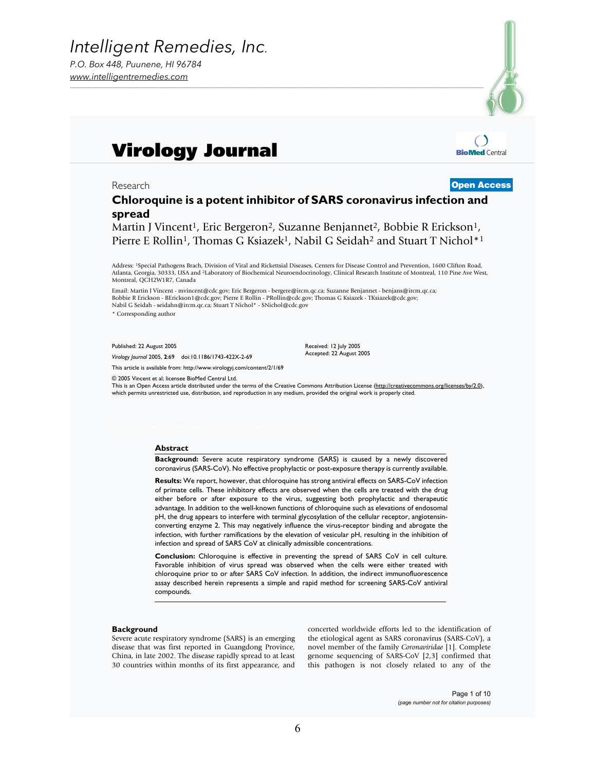

**BioMed Central** 

# Virology Journal

### Research Open Access

### **Chloroquine is a potent inhibitor of SARS coronavirus infection and spread**

Martin J Vincent<sup>1</sup>, Eric Bergeron<sup>2</sup>, Suzanne Benjannet<sup>2</sup>, Bobbie R Erickson<sup>1</sup>, Pierre E Rollin<sup>1</sup>, Thomas G Ksiazek<sup>1</sup>, Nabil G Seidah<sup>2</sup> and Stuart T Nichol<sup>\*1</sup>

Address: 1Special Pathogens Brach, Division of Viral and Rickettsial Diseases, Centers for Disease Control and Prevention, 1600 Clifton Road, Atlanta, Georgia, 30333, USA and 2Laboratory of Biochemical Neuroendocrinology, Clinical Research Institute of Montreal, 110 Pine Ave West, Montreal, QCH2W1R7, Canada

Email: Martin J Vincent - mvincent@cdc.gov; Eric Bergeron - bergere@ircm.qc.ca; Suzanne Benjannet - benjans@ircm.qc.ca; Bobbie R Erickson - BErickson1@cdc.gov; Pierre E Rollin - PRollin@cdc.gov; Thomas G Ksiazek - TKsiazek@cdc.gov; Nabil G Seidah - seidahn@ircm.qc.ca; Stuart T Nichol\* - SNichol@cdc.gov \* Corresponding author

Published: 22 August 2005

*Virology Journal* 2005, **2**:69 doi:10.1186/1743-422X-2-69

This article is available from: http://www.virologyj.com/content/2/1/69

© 2005 Vincent et al; licensee BioMed Central Ltd.

This is an Open Access article distributed under the terms of the Creative Commons Attribution License (http://creativecommons.org/licenses/by/2.0), which permits unrestricted use, distribution, and reproduction in any medium, provided the original work is properly cited.

Received: 12 July 2005 Accepted: 22 August 2005

#### **Abstract**

**Background:** Severe acute respiratory syndrome (SARS) is caused by a newly discovered coronavirus (SARS-CoV). No effective prophylactic or post-exposure therapy is currently available.

**Results:** We report, however, that chloroquine has strong antiviral effects on SARS-CoV infection of primate cells. These inhibitory effects are observed when the cells are treated with the drug either before or after exposure to the virus, suggesting both prophylactic and therapeutic advantage. In addition to the well-known functions of chloroquine such as elevations of endosomal pH, the drug appears to interfere with terminal glycosylation of the cellular receptor, angiotensinconverting enzyme 2. This may negatively influence the virus-receptor binding and abrogate the infection, with further ramifications by the elevation of vesicular pH, resulting in the inhibition of infection and spread of SARS CoV at clinically admissible concentrations.

**Conclusion:** Chloroquine is effective in preventing the spread of SARS CoV in cell culture. Favorable inhibition of virus spread was observed when the cells were either treated with chloroquine prior to or after SARS CoV infection. In addition, the indirect immunofluorescence assay described herein represents a simple and rapid method for screening SARS-CoV antiviral compounds.

#### **Background**

Severe acute respiratory syndrome (SARS) is an emerging disease that was first reported in Guangdong Province, China, in late 2002. The disease rapidly spread to at least 30 countries within months of its first appearance, and

concerted worldwide efforts led to the identification of the etiological agent as SARS coronavirus (SARS-CoV), a novel member of the family *Coronaviridae* [1]. Complete genome sequencing of SARS-CoV [2,3] confirmed that this pathogen is not closely related to any of the

> Page 1 of 10 *(page number not for citation purposes)*

6